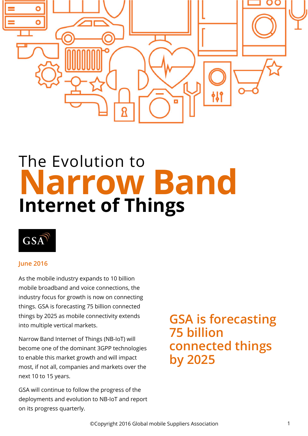

# The Evolution to **Narrow Band Internet of Things**



#### **June 2016**

As the mobile industry expands to 10 billion mobile broadband and voice connections, the industry focus for growth is now on connecting things. GSA is forecasting 75 billion connected things by 2025 as mobile connectivity extends into multiple vertical markets.

Narrow Band Internet of Things (NB-IoT) will become one of the dominant 3GPP technologies to enable this market growth and will impact most, if not all, companies and markets over the next 10 to 15 years.

GSA will continue to follow the progress of the deployments and evolution to NB-IoT and report on its progress quarterly.

## **GSA is forecasting 75 billion connected things by 2025**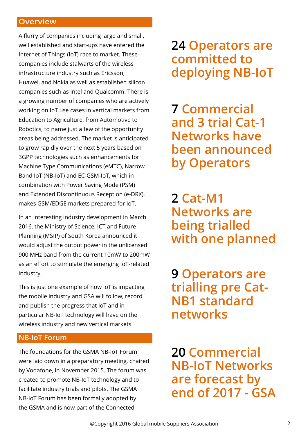#### **Overview**

A flurry of companies including large and small, well established and start-ups have entered the Internet of Things (IoT) race to market. These companies include stalwarts of the wireless infrastructure industry such as Ericsson, Huawei, and Nokia as well as established silicon companies such as Intel and Qualcomm. There is a growing number of companies who are actively working on IoT use cases in vertical markets from Education to Agriculture, from Automotive to Robotics, to name just a few of the opportunity areas being addressed. The market is anticipated to grow rapidly over the next 5 years based on 3GPP technologies such as enhancements for Machine Type Communications (eMTC), Narrow Band IoT (NB-IoT) and EC-GSM-IoT, which in combination with Power Saving Mode (PSM) and Extended Discontinuous Reception (e-DRX), makes GSM/EDGE markets prepared for IoT.

In an interesting industry development in March 2016, the Ministry of Science, ICT and Future Planning (MSIP) of South Korea announced it would adjust the output power in the unlicensed 900 MHz band from the current 10mW to 200mW as an effort to stimulate the emerging IoT-related industry.

This is just one example of how IoT is impacting the mobile industry and GSA will follow, record and publish the progress that IoT and in particular NB-IoT technology will have on the wireless industry and new vertical markets.

#### **NB-IoT Forum**

The foundations for the GSMA NB-IoT Forum were laid down in a preparatory meeting, chaired by Vodafone, in November 2015. The forum was created to promote NB-IoT technology and to facilitate industry trials and pilots. The GSMA NB-IoT Forum has been formally adopted by the GSMA and is now part of the Connected

**24 Operators are committed to deploying NB-IoT**

**7 Commercial and 3 trial Cat-1 Networks have been announced by Operators** 

**2 Cat-M1 Networks are being trialled with one planned**

**9 Operators are trialling pre Cat-NB1 standard networks**

**20 Commercial NB-IoT Networks are forecast by end of 2017 - GSA**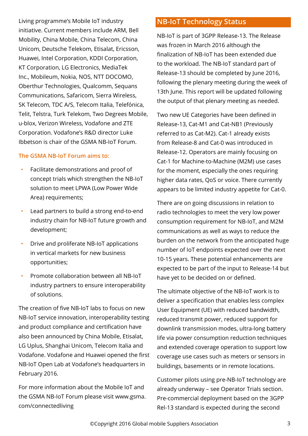Living programme's Mobile IoT industry initiative. Current members include ARM, Bell Mobility, China Mobile, China Telecom, China Unicom, Deutsche Telekom, Etisalat, Ericsson, Huawei, Intel Corporation, KDDI Corporation, KT Corporation, LG Electronics, MediaTek Inc., Mobileum, Nokia, NOS, NTT DOCOMO, Oberthur Technologies, Qualcomm, Sequans Communications, Safaricom, Sierra Wireless, SK Telecom, TDC A/S, Telecom Italia, Telefónica, Telit, Telstra, Turk Telekom, Two Degrees Mobile, u-blox, Verizon Wireless, Vodafone and ZTE Corporation. Vodafone's R&D director Luke Ibbetson is chair of the GSMA NB-IoT Forum.

#### **The GSMA NB-IoT Forum aims to:**

- Facilitate demonstrations and proof of concept trials which strengthen the NB-IoT solution to meet LPWA (Low Power Wide Area) requirements;
- Lead partners to build a strong end-to-end industry chain for NB-IoT future growth and development;
- Drive and proliferate NB-IoT applications in vertical markets for new business opportunities;
- Promote collaboration between all NB-IoT industry partners to ensure interoperability of solutions.

The creation of five NB-IoT labs to focus on new NB-IoT service innovation, interoperability testing and product compliance and certification have also been announced by China Mobile, Etisalat, LG Uplus, Shanghai Unicom, Telecom Italia and Vodafone. Vodafone and Huawei opened the first NB-IoT Open Lab at Vodafone's headquarters in February 2016.

For more information about the Mobile IoT and the GSMA NB-IoT Forum please visit [www.gsma.](http://www.gsma) com/connectedliving

#### **NB-IoT Technology Status**

NB-IoT is part of 3GPP Release-13. The Release was frozen in March 2016 although the finalization of NB-IoT has been extended due to the workload. The NB-IoT standard part of Release-13 should be completed by June 2016, following the plenary meeting during the week of 13th June. This report will be updated following the output of that plenary meeting as needed.

Two new UE Categories have been defined in Release-13, Cat-M1 and Cat-NB1 (Previously referred to as Cat-M2). Cat-1 already exists from Release-8 and Cat-0 was introduced in Release-12. Operators are mainly focusing on Cat-1 for Machine-to-Machine (M2M) use cases for the moment, especially the ones requiring higher data rates, QoS or voice. There currently appears to be limited industry appetite for Cat-0.

There are on going discussions in relation to radio technologies to meet the very low power consumption requirement for NB-IoT, and M2M communications as well as ways to reduce the burden on the network from the anticipated huge number of IoT endpoints expected over the next 10-15 years. These potential enhancements are expected to be part of the input to Release-14 but have yet to be decided on or defined.

The ultimate objective of the NB-IoT work is to deliver a specification that enables less complex User Equipment (UE) with reduced bandwidth, reduced transmit power, reduced support for downlink transmission modes, ultra-long battery life via power consumption reduction techniques and extended coverage operation to support low coverage use cases such as meters or sensors in buildings, basements or in remote locations.

Customer pilots using pre-NB-IoT technology are already underway – see Operator Trials section. Pre-commercial deployment based on the 3GPP Rel-13 standard is expected during the second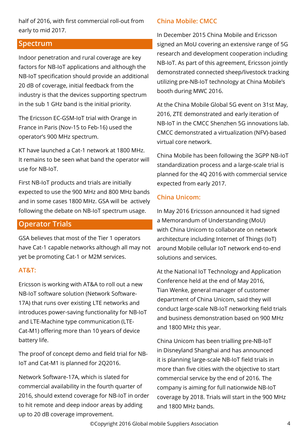half of 2016, with first commercial roll-out from early to mid 2017.

#### **Spectrum**

Indoor penetration and rural coverage are key factors for NB-IoT applications and although the NB-IoT specification should provide an additional 20 dB of coverage, initial feedback from the industry is that the devices supporting spectrum in the sub 1 GHz band is the initial priority.

The Ericsson EC-GSM-IoT trial with Orange in France in Paris (Nov-15 to Feb-16) used the operator's 900 MHz spectrum.

KT have launched a Cat-1 network at 1800 MHz. It remains to be seen what band the operator will use for NB-IoT.

First NB-IoT products and trials are initially expected to use the 900 MHz and 800 MHz bands and in some cases 1800 MHz. GSA will be actively following the debate on NB-IoT spectrum usage.

#### **Operator Trials**

GSA believes that most of the Tier 1 operators have Cat-1 capable networks although all may not yet be promoting Cat-1 or M2M services.

#### **AT&T:**

Ericsson is working with AT&A to roll out a new NB-IoT software solution (Network Software-17A) that runs over existing LTE networks and introduces power-saving functionality for NB-IoT and LTE-Machine type communication (LTE-Cat-M1) offering more than 10 years of device battery life.

The proof of concept demo and field trial for NB-IoT and Cat-M1 is planned for 2Q2016.

Network Software-17A, which is slated for commercial availability in the fourth quarter of 2016, should extend coverage for NB-IoT in order to hit remote and deep indoor areas by adding up to 20 dB coverage improvement.

#### **China Mobile: CMCC**

In December 2015 China Mobile and Ericsson signed an MoU covering an extensive range of 5G research and development cooperation including NB-IoT. As part of this agreement, Ericsson jointly demonstrated connected sheep/livestock tracking utilizing pre-NB-IoT technology at China Mobile's booth during MWC 2016.

At the China Mobile Global 5G event on 31st May, 2016, ZTE demonstrated and early iteration of NB-IoT in the CMCC Shenzhen 5G innovations lab. CMCC demonstrated a virtualization (NFV)-based virtual core network.

China Mobile has been following the 3GPP NB-IoT standardization process and a large-scale trial is planned for the 4Q 2016 with commercial service expected from early 2017.

#### **China Unicom:**

In May 2016 Ericsson announced it had signed a Memorandum of Understanding (MoU) with China Unicom to collaborate on network architecture including Internet of Things (IoT) around Mobile cellular IoT network end-to-end solutions and services.

At the National IoT Technology and Application Conference held at the end of May 2016, Tian Wenke, general manager of customer department of China Unicom, said they will conduct large-scale NB-IoT networking field trials and business demonstration based on 900 MHz and 1800 MHz this year.

China Unicom has been trialling pre-NB-IoT in Disneyland Shanghai and has announced it is planning large-scale NB-IoT field trials in more than five cities with the objective to start commercial service by the end of 2016. The company is aiming for full nationwide NB-IoT coverage by 2018. Trials will start in the 900 MHz and 1800 MHz bands.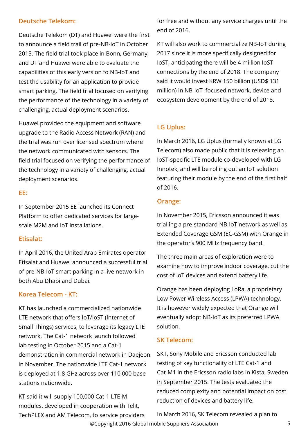#### **Deutsche Telekom:**

Deutsche Telekom (DT) and Huawei were the first to announce a field trail of pre-NB-IoT in October 2015. The field trial took place in Bonn, Germany, and DT and Huawei were able to evaluate the capabilities of this early version fo NB-IoT and test the usability for an application to provide smart parking. The field trial focused on verifying the performance of the technology in a variety of challenging, actual deployment scenarios.

Huawei provided the equipment and software upgrade to the Radio Access Network (RAN) and the trial was run over licensed spectrum where the network communicated with sensors. The field trial focused on verifying the performance of the technology in a variety of challenging, actual deployment scenarios.

#### **EE:**

In September 2015 EE launched its Connect Platform to offer dedicated services for largescale M2M and IoT installations.

#### **Etisalat:**

In April 2016, the United Arab Emirates operator Etisalat and Huawei announced a successful trial of pre-NB-IoT smart parking in a live network in both Abu Dhabi and Dubai.

#### **Korea Telecom - KT:**

KT has launched a commercialized nationwide LTE network that offers IoT/IoST (Internet of Small Things) services, to leverage its legacy LTE network. The Cat-1 network launch followed lab testing in October 2015 and a Cat-1 demonstration in commercial network in Daejeon in November. The nationwide LTE Cat-1 network is deployed at 1.8 GHz across over 110,000 base stations nationwide.

KT said it will supply 100,000 Cat-1 LTE-M modules, developed in cooperation with Telit, TechPLEX and AM Telecom, to service providers for free and without any service charges until the end of 2016.

KT will also work to commercialize NB-IoT during 2017 since it is more specifically designed for IoST, anticipating there will be 4 million IoST connections by the end of 2018. The company said it would invest KRW 150 billion (USD\$ 131 million) in NB-IoT–focused network, device and ecosystem development by the end of 2018.

### **LG Uplus:**

In March 2016, LG Uplus (formally known at LG Telecom) also made public that it is releasing an IoST-specific LTE module co-developed with LG Innotek, and will be rolling out an IoT solution featuring their module by the end of the first half of 2016.

#### **Orange:**

In November 2015, Ericsson announced it was trialling a pre-standard NB-IoT network as well as Extended Coverage GSM (EC-GSM) with Orange in the operator's 900 MHz frequency band.

The three main areas of exploration were to examine how to improve indoor coverage, cut the cost of IoT devices and extend battery life.

Orange has been deploying LoRa, a proprietary Low Power Wireless Access (LPWA) technology. It is however widely expected that Orange will eventually adopt NB-IoT as its preferred LPWA solution.

#### **SK Telecom:**

SKT, Sony Mobile and Ericsson conducted lab testing of key functionality of LTE Cat-1 and Cat-M1 in the Ericsson radio labs in Kista, Sweden in September 2015. The tests evaluated the reduced complexity and potential impact on cost reduction of devices and battery life.

©Copyright 2016 Global mobile Suppliers Association 5 In March 2016, SK Telecom revealed a plan to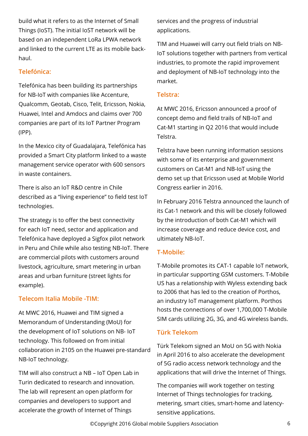build what it refers to as the Internet of Small Things (IoST). The initial IoST network will be based on an independent LoRa LPWA network and linked to the current LTE as its mobile backhaul.

#### **Telefónica:**

Telefónica has been building its partnerships for NB-IoT with companies like Accenture, Qualcomm, Geotab, Cisco, Telit, Ericsson, Nokia, Huawei, Intel and Amdocs and claims over 700 companies are part of its IoT Partner Program (IPP).

In the Mexico city of Guadalajara, Telefónica has provided a Smart City platform linked to a waste management service operator with 600 sensors in waste containers.

There is also an IoT R&D centre in Chile described as a "living experience" to field test IoT technologies.

The strategy is to offer the best connectivity for each IoT need, sector and application and Telefónica have deployed a Sigfox pilot network in Peru and Chile while also testing NB-IoT. There are commercial pilots with customers around livestock, agriculture, smart metering in urban areas and urban furniture (street lights for example).

#### **Telecom Italia Mobile -TIM:**

At MWC 2016, Huawei and TIM signed a Memorandum of Understanding (MoU) for the development of IoT solutions on NB- IoT technology. This followed on from initial collaboration in 2105 on the Huawei pre-standard NB-IoT technology.

TIM will also construct a NB – IoT Open Lab in Turin dedicated to research and innovation. The lab will represent an open platform for companies and developers to support and accelerate the growth of Internet of Things

services and the progress of industrial applications.

TIM and Huawei will carry out field trials on NB-IoT solutions together with partners from vertical industries, to promote the rapid improvement and deployment of NB-IoT technology into the market.

#### **Telstra:**

At MWC 2016, Ericsson announced a proof of concept demo and field trails of NB-IoT and Cat-M1 starting in Q2 2016 that would include **Telstra** 

Telstra have been running information sessions with some of its enterprise and government customers on Cat-M1 and NB-IoT using the demo set up that Ericsson used at Mobile World Congress earlier in 2016.

In February 2016 Telstra announced the launch of its Cat-1 network and this will be closely followed by the introduction of both Cat-M1 which will increase coverage and reduce device cost, and ultimately NB-IoT.

#### **T-Mobile:**

T-Mobile promotes its CAT-1 capable IoT network, in particular supporting GSM customers. T-Mobile US has a relationship with Wyless extending back to 2006 that has led to the creation of Porthos, an industry IoT management platform. Porthos hosts the connections of over 1,700,000 T-Mobile SIM cards utilizing 2G, 3G, and 4G wireless bands.

#### **Türk Telekom**

Türk Telekom signed an MoU on 5G with Nokia in April 2016 to also accelerate the development of 5G radio access network technology and the applications that will drive the Internet of Things.

The companies will work together on testing Internet of Things technologies for tracking, metering, smart cities, smart-home and latencysensitive applications.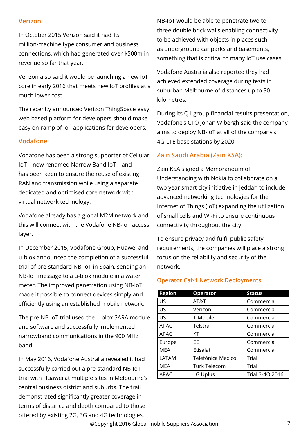#### **Verizon:**

In October 2015 Verizon said it had 15 million-machine type consumer and business connections, which had generated over \$500m in revenue so far that year.

Verizon also said it would be launching a new IoT core in early 2016 that meets new IoT profiles at a much lower cost.

The recenlty announced Verizon ThingSpace easy web based platform for developers should make easy on-ramp of IoT applications for developers.

#### **Vodafone:**

Vodafone has been a strong supporter of Cellular IoT – now renamed Narrow Band IoT – and has been keen to ensure the reuse of existing RAN and transmission while using a separate dedicated and optimised core network with virtual network technology.

Vodafone already has a global M2M network and this will connect with the Vodafone NB-IoT access layer.

In December 2015, Vodafone Group, Huawei and u-blox announced the completion of a successful trial of pre-standard NB-IoT in Spain, sending an NB-IoT message to a u-blox module in a water meter. The improved penetration using NB-IoT made it possible to connect devices simply and efficiently using an established mobile network.

The pre-NB IoT trial used the u-blox SARA module and software and successfully implemented narrowband communications in the 900 MHz band.

In May 2016, Vodafone Australia revealed it had successfully carried out a pre-standard NB-IoT trial with Huawei at multiple sites in Melbourne's central business district and suburbs. The trail demonstrated significantly greater coverage in terms of distance and depth compared to those offered by existing 2G, 3G and 4G technologies.

NB-IoT would be able to penetrate two to three double brick walls enabling connectivity to be achieved with objects in places such as underground car parks and basements, something that is critical to many IoT use cases.

Vodafone Australia also reported they had achieved extended coverage during tests in suburban Melbourne of distances up to 30 kilometres.

During its Q1 group financial results presentation, Vodafone's CTO Johan Wibergh said the company aims to deploy NB-IoT at all of the company's 4G-LTE base stations by 2020.

#### **Zain Saudi Arabia (Zain KSA):**

Zain KSA signed a Memorandum of Understanding with Nokia to collaborate on a two year smart city initiative in Jeddah to include advanced networking technologies for the Internet of Things (IoT) expanding the utilization of small cells and Wi-Fi to ensure continuous connectivity throughout the city.

To ensure privacy and fulfil public safety requirements, the companies will place a strong focus on the reliability and security of the network.

#### **Operator Cat-1 Network Deployments**

| <b>Region</b> | Operator          | <b>Status</b>   |
|---------------|-------------------|-----------------|
| US            | AT&T              | Commercial      |
| US            | Verizon           | Commercial      |
| US            | T-Mobile          | Commercial      |
| APAC          | Telstra           | Commercial      |
| APAC          | КT                | Commercial      |
| Europe        | FF                | Commercial      |
| <b>MEA</b>    | Etisalat          | Commercial      |
| LATAM         | Telefónica Mexico | Trial           |
| <b>MEA</b>    | Türk Telecom      | Trial           |
| APAC          | LG Uplus          | Trial 3-4Q 2016 |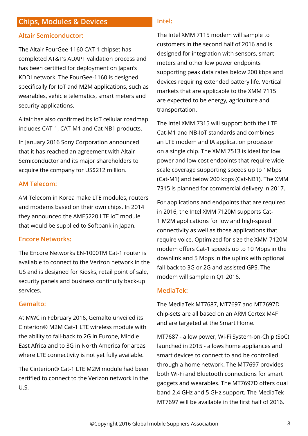#### **Chips, Modules & Devices**

#### **Altair Semiconductor:**

The Altair FourGee-1160 CAT-1 chipset has completed AT&T's ADAPT validation process and has been certified for deployment on Japan's KDDI network. The FourGee-1160 is designed specifically for IoT and M2M applications, such as wearables, vehicle telematics, smart meters and security applications.

Altair has also confirmed its IoT cellular roadmap includes CAT-1, CAT-M1 and Cat NB1 products.

In January 2016 Sony Corporation announced that it has reached an agreement with Altair Semiconductor and its major shareholders to acquire the company for US\$212 million.

#### **AM Telecom:**

AM Telecom in Korea make LTE modules, routers and modems based on their own chips. In 2014 they announced the AME5220 LTE IoT module that would be supplied to Softbank in Japan.

#### **Encore Networks:**

The Encore Networks EN-1000TM Cat-1 router is available to connect to the Verizon network in the US and is designed for Kiosks, retail point of sale, security panels and business continuity back-up services.

#### **Gemalto:**

At MWC in February 2016, Gemalto unveiled its Cinterion® M2M Cat-1 LTE wireless module with the ability to fall-back to 2G in Europe, Middle East Africa and to 3G in North America for areas where LTE connectivity is not yet fully available.

The Cinterion® Cat-1 LTE M2M module had been certified to connect to the Verizon network in the U.S.

#### **Intel:**

The Intel XMM 7115 modem will sample to customers in the second half of 2016 and is designed for integration with sensors, smart meters and other low power endpoints supporting peak data rates below 200 kbps and devices requiring extended battery life. Vertical markets that are applicable to the XMM 7115 are expected to be energy, agriculture and transportation.

The Intel XMM 7315 will support both the LTE Cat-M1 and NB-IoT standards and combines an LTE modem and IA application processor on a single chip. The XMM 7513 is ideal for low power and low cost endpoints that require widescale coverage supporting speeds up to 1Mbps (Cat-M1) and below 200 kbps (Cat-NB1). The XMM 7315 is planned for commercial delivery in 2017.

For applications and endpoints that are required in 2016, the Intel XMM 7120M supports Cat-1 M2M applications for low and high-speed connectivity as well as those applications that require voice. Optimized for size the XMM 7120M modem offers Cat-1 speeds up to 10 Mbps in the downlink and 5 Mbps in the uplink with optional fall back to 3G or 2G and assisted GPS. The modem will sample in Q1 2016.

#### **MediaTek:**

The MediaTek MT7687, MT7697 and MT7697D chip-sets are all based on an ARM Cortex M4F and are targeted at the Smart Home.

MT7687 - a low power, Wi-Fi System-on-Chip (SoC) launched in 2015 - allows home appliances and smart devices to connect to and be controlled through a home network. The MT7697 provides both Wi-Fi and Bluetooth connections for smart gadgets and wearables. The MT7697D offers dual band 2.4 GHz and 5 GHz support. The MediaTek MT7697 will be available in the first half of 2016.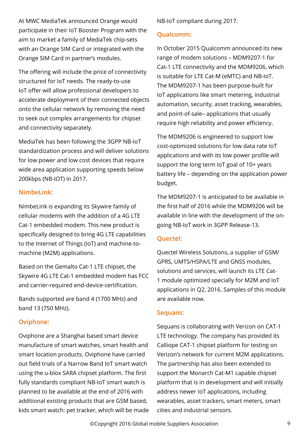At MWC MediaTek announced Orange would participate in their IoT Booster Program with the aim to market a family of MediaTek chip-sets with an Orange SIM Card or integrated with the Orange SIM Card in partner's modules.

The offering will include the price of connectivity structured for IoT needs. The ready-to-use IoT offer will allow professional developers to accelerate deployment of their connected objects onto the cellular network by removing the need to seek out complex arrangements for chipset and connectivity separately.

MediaTek has been following the 3GPP NB-IoT standardization process and will deliver solutions for low power and low cost devices that require wide area application supporting speeds below 200kbps (NB-IOT) in 2017.

#### **Nimbel ink:**

NimbeLink is expanding its Skywire family of cellular modems with the addition of a 4G LTE Cat-1 embedded modem. This new product is specifically designed to bring 4G LTE capabilities to the Internet of Things (IoT) and machine-tomachine (M2M) applications.

Based on the Gemalto Cat-1 LTE chipset, the Skywire 4G LTE Cat-1 embedded modem has FCC and carrier-required end-device-certification.

Bands supported are band 4 (1700 MHz) and band 13 (750 MHz).

#### **Oviphone:**

Oviphone are a Shanghai based smart device manufacture of smart watches, smart health and smart location products. Oviphone have carried out field trials of a Narrow Band IoT smart watch using the u-blox SARA chipset platform. The first fully standards compliant NB-IoT smart watch is planned to be available at the end of 2016 with additional existing products that are GSM based, kids smart watch: pet tracker, which will be made NB-IoT compliant during 2017.

#### **Qualcomm:**

In October 2015 Qualcomm announced its new range of modem solutions – MDM9207-1 for Cat-1 LTE connectivity and the MDM9206, which is suitable for LTE Cat-M (eMTC) and NB-IoT. The MDM9207-1 has been purpose-built for IoT applications like smart metering, industrial automation, security, asset tracking, wearables, and point-of-sale– applications that usually require high reliability and power efficiency.

The MDM9206 is engineered to support low cost-optimized solutions for low data rate IoT applications and with its low power profile will support the long term IoT goal of 10+ years battery life – depending on the application power budget.

The MDM9207-1 is anticipated to be available in the first half of 2016 while the MDM9206 will be available in line with the development of the ongoing NB-IoT work in 3GPP Release-13.

#### **Quectel:**

Quectel Wireless Solutions, a supplier of GSM/ GPRS, UMTS/HSPA/LTE and GNSS modules, solutions and services, will launch its LTE Cat-1 module optimized specially for M2M and IoT applications in Q2, 2016. Samples of this module are available now.

#### **Sequans:**

Sequans is collaborating with Verizon on CAT-1 LTE technology. The company has provided its Calliope CAT-1 chipset platform for testing on Verizon's network for current M2M applications. The partnership has also been extended to support the Monarch Cat-M1 capable chipset platform that is in development and will initially address newer IoT applications, including wearables, asset trackers, smart meters, smart cities and industrial sensors.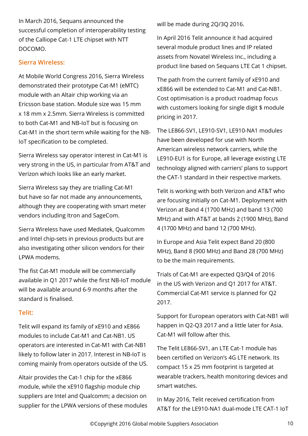In March 2016, Sequans announced the successful completion of interoperability testing of the Calliope Cat-1 LTE chipset with NTT DOCOMO.

#### **Sierra Wireless:**

At Mobile World Congress 2016, Sierra Wireless demonstrated their prototype Cat-M1 (eMTC) module with an Altair chip working via an Ericsson base station. Module size was 15 mm x 18 mm x 2.5mm. Sierra Wireless is committed to both Cat-M1 and NB-IoT but is focusing on Cat-M1 in the short term while waiting for the NB-IoT specification to be completed.

Sierra Wireless say operator interest in Cat-M1 is very strong in the US, in particular from AT&T and Verizon which looks like an early market.

Sierra Wireless say they are trialling Cat-M1 but have so far not made any announcements, although they are cooperating with smart meter vendors including Itron and SageCom.

Sierra Wireless have used Mediatek, Qualcomm and Intel chip-sets in previous products but are also investigating other silicon vendors for their LPWA modems.

The fist Cat-M1 module will be commercially available in Q1 2017 while the first NB-IoT module will be available around 6-9 months after the standard is finalised.

#### **Telit:**

Telit will expand its family of xE910 and xE866 modules to include Cat-M1 and Cat-NB1. US operators are interested in Cat-M1 with Cat-NB1 likely to follow later in 2017. Interest in NB-IoT is coming mainly from operators outside of the US.

Altair provides the Cat-1 chip for the xE866 module, while the xE910 flagship module chip suppliers are Intel and Qualcomm; a decision on supplier for the LPWA versions of these modules will be made during 2Q/3Q 2016.

In April 2016 Telit announce it had acquired several module product lines and IP related assets from Novatel Wireless Inc., including a product line based on Sequans LTE Cat 1 chipset.

The path from the current family of xE910 and xE866 will be extended to Cat-M1 and Cat-NB1. Cost optimisation is a product roadmap focus with customers looking for single digit \$ module pricing in 2017.

The LE866-SV1, LE910-SV1, LE910-NA1 modules have been developed for use with North American wireless network carriers, while the LE910-EU1 is for Europe, all leverage existing LTE technology aligned with carriers' plans to support the CAT-1 standard in their respective markets.

Telit is working with both Verizon and AT&T who are focusing initially on Cat-M1. Deployment with Verizon at Band 4 (1700 MHz) and band 13 (700 MHz) and with AT&T at bands 2 (1900 MHz), Band 4 (1700 MHz) and band 12 (700 MHz).

In Europe and Asia Telit expect Band 20 (800 MHz), Band 8 (900 MHz) and Band 28 (700 MHz) to be the main requirements.

Trials of Cat-M1 are expected Q3/Q4 of 2016 in the US with Verizon and Q1 2017 for AT&T. Commercial Cat-M1 service is planned for Q2 2017.

Support for European operators with Cat-NB1 will happen in Q2-Q3 2017 and a little later for Asia. Cat-M1 will follow after this.

The Telit LE866-SV1, an LTE Cat-1 module has been certified on Verizon's 4G LTE network. Its compact 15 x 25 mm footprint is targeted at wearable trackers, health monitoring devices and smart watches.

In May 2016, Telit received certification from AT&T for the LE910-NA1 dual-mode LTE CAT-1 IoT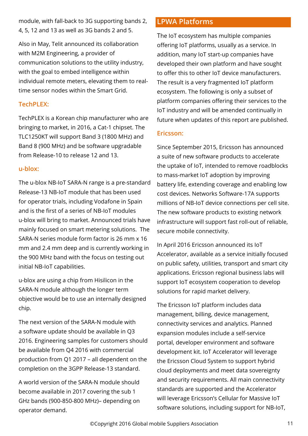module, with fall-back to 3G supporting bands 2, 4, 5, 12 and 13 as well as 3G bands 2 and 5.

Also in May, Telit announced its collaboration with M2M Engineering, a provider of communication solutions to the utility industry, with the goal to embed intelligence within individual remote meters, elevating them to realtime sensor nodes within the Smart Grid.

#### **TechPLEX:**

TechPLEX is a Korean chip manufacturer who are bringing to market, in 2016, a Cat-1 chipset. The TLC1250KT will support Band 3 (1800 MHz) and Band 8 (900 MHz) and be software upgradable from Release-10 to release 12 and 13.

#### **u-blox:**

The u-blox NB-IoT SARA-N range is a pre-standard Release-13 NB-IoT module that has been used for operator trials, including Vodafone in Spain and is the first of a series of NB-IoT modules u-blox will bring to market. Announced trials have mainly focused on smart metering solutions. The SARA-N series module form factor is 26 mm x 16 mm and 2.4 mm deep and is currently working in the 900 MHz band with the focus on testing out initial NB-IoT capabilities.

u-blox are using a chip from Hisilicon in the SARA-N module although the longer term objective would be to use an internally designed chip.

The next version of the SARA-N module with a software update should be available in Q3 2016. Engineering samples for customers should be available from Q4 2016 with commercial production from Q1 2017 – all dependent on the completion on the 3GPP Release-13 standard.

A world version of the SARA-N module should become available in 2017 covering the sub 1 GHz bands (900-850-800 MHz)– depending on operator demand.

### **LPWA Platforms**

The IoT ecosystem has multiple companies offering IoT platforms, usually as a service. In addition, many IoT start-up companies have developed their own platform and have sought to offer this to other IoT device manufacturers. The result is a very fragmented IoT platform ecosystem. The following is only a subset of platform companies offering their services to the IoT industry and will be amended continually in future when updates of this report are published.

#### **Ericsson:**

Since September 2015, Ericsson has announced a suite of new software products to accelerate the uptake of IoT, intended to remove roadblocks to mass-market IoT adoption by improving battery life, extending coverage and enabling low cost devices. Networks Software-17A supports millions of NB-IoT device connections per cell site. The new software products to existing network infrastructure will support fast roll-out of reliable, secure mobile connectivity.

In April 2016 Ericsson announced its IoT Accelerator, available as a service initially focused on public safety, utilities, transport and smart city applications. Ericsson regional business labs will support IoT ecosystem cooperation to develop solutions for rapid market delivery.

The Ericsson IoT platform includes data management, billing, device management, connectivity services and analytics. Planned expansion modules include a self-service portal, developer environment and software development kit. IoT Accelerator will leverage the Ericsson Cloud System to support hybrid cloud deployments and meet data sovereignty and security requirements. All main connectivity standards are supported and the Accelerator will leverage Ericsson's Cellular for Massive IoT software solutions, including support for NB-IoT,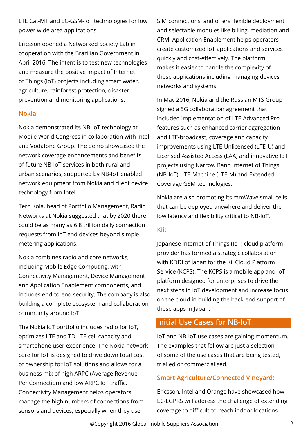LTE Cat-M1 and EC-GSM-IoT technologies for low power wide area applications.

Ericsson opened a Networked Society Lab in cooperation with the Brazilian Government in April 2016. The intent is to test new technologies and measure the positive impact of Internet of Things (IoT) projects including smart water, agriculture, rainforest protection, disaster prevention and monitoring applications.

#### **Nokia:**

Nokia demonstrated its NB-IoT technology at Mobile World Congress in collaboration with Intel and Vodafone Group. The demo showcased the network coverage enhancements and benefits of future NB-IoT services in both rural and urban scenarios, supported by NB-IoT enabled network equipment from Nokia and client device technology from Intel.

Tero Kola, head of Portfolio Management, Radio Networks at Nokia suggested that by 2020 there could be as many as 6.8 trillion daily connection requests from IoT end devices beyond simple metering applications.

Nokia combines radio and core networks, including Mobile Edge Computing, with Connectivity Management, Device Management and Application Enablement components, and includes end-to-end security. The company is also building a complete ecosystem and collaboration community around IoT.

The Nokia IoT portfolio includes radio for IoT, optimizes LTE and TD-LTE cell capacity and smartphone user experience. The Nokia network core for IoT is designed to drive down total cost of ownership for IoT solutions and allows for a business mix of high ARPC (Average Revenue Per Connection) and low ARPC IoT traffic. Connectivity Management helps operators manage the high numbers of connections from sensors and devices, especially when they use

SIM connections, and offers flexible deployment and selectable modules like billing, mediation and CRM. Application Enablement helps operators create customized IoT applications and services quickly and cost-effectively. The platform makes it easier to handle the complexity of these applications including managing devices, networks and systems.

In May 2016, Nokia and the Russian MTS Group signed a 5G collaboration agreement that included implementation of LTE-Advanced Pro features such as enhanced carrier aggregation and LTE-broadcast, coverage and capacity improvements using LTE-Unlicensed (LTE-U) and Licensed Assisted Access (LAA) and innovative IoT projects using Narrow Band Internet of Things (NB-IoT), LTE-Machine (LTE-M) and Extended Coverage GSM technologies.

Nokia are also promoting its mmWave small cells that can be deployed anywhere and deliver the low latency and flexibility critical to NB-IoT.

#### **Kii:**

Japanese Internet of Things (IoT) cloud platform provider has formed a strategic collaboration with KDDI of Japan for the Kii Cloud Platform Service (KCPS). The KCPS is a mobile app and IoT platform designed for enterprises to drive the next steps in IoT development and increase focus on the cloud in building the back-end support of these apps in Japan.

#### **Initial Use Cases for NB-IoT**

IoT and NB-IoT use cases are gaining momentum. The examples that follow are just a selection of some of the use cases that are being tested, trialled or commercialised.

#### **Smart Agriculture/Connected Vineyard:**

Ericsson, Intel and Orange have showcased how EC-EGPRS will address the challenge of extending coverage to difficult-to-reach indoor locations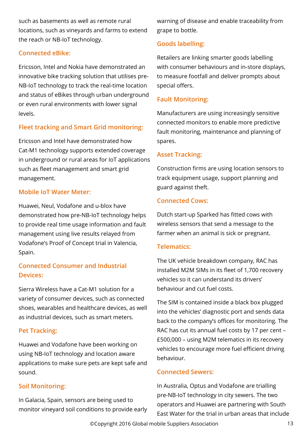such as basements as well as remote rural locations, such as vineyards and farms to extend the reach or NB-IoT technology.

#### **Connected eBike:**

Ericsson, Intel and Nokia have demonstrated an innovative bike tracking solution that utilises pre-NB-IoT technology to track the real-time location and status of eBikes through urban underground or even rural environments with lower signal levels.

#### **Fleet tracking and Smart Grid monitoring:**

Ericsson and Intel have demonstrated how Cat-M1 technology supports extended coverage in underground or rural areas for IoT applications such as fleet management and smart grid management.

#### **Mobile IoT Water Meter:**

Huawei, Neul, Vodafone and u-blox have demonstrated how pre-NB-IoT technology helps to provide real time usage information and fault management using live results relayed from Vodafone's Proof of Concept trial in Valencia, Spain.

#### **Connected Consumer and Industrial Devices:**

Sierra Wireless have a Cat-M1 solution for a variety of consumer devices, such as connected shoes, wearables and healthcare devices, as well as industrial devices, such as smart meters.

#### **Pet Tracking:**

Huawei and Vodafone have been working on using NB-IoT technology and location aware applications to make sure pets are kept safe and sound.

#### **Soil Monitoring:**

In Galacia, Spain, sensors are being used to monitor vineyard soil conditions to provide early warning of disease and enable traceability from grape to bottle.

#### **Goods labelling:**

Retailers are linking smarter goods labelling with consumer behaviours and in-store displays, to measure footfall and deliver prompts about special offers.

#### **Fault Monitoring:**

Manufacturers are using increasingly sensitive connected monitors to enable more predictive fault monitoring, maintenance and planning of spares.

#### **Asset Tracking:**

Construction firms are using location sensors to track equipment usage, support planning and guard against theft.

#### **Connected Cows:**

Dutch start-up Sparked has fitted cows with wireless sensors that send a message to the farmer when an animal is sick or pregnant.

#### **Telematics:**

The UK vehicle breakdown company, RAC has installed M2M SIMs in its fleet of 1,700 recovery vehicles so it can understand its drivers' behaviour and cut fuel costs.

The SIM is contained inside a black box plugged into the vehicles' diagnostic port and sends data back to the company's offices for monitoring. The RAC has cut its annual fuel costs by 17 per cent – £500,000 – using M2M telematics in its recovery vehicles to encourage more fuel efficient driving behaviour.

#### **Connected Sewers:**

In Australia, Optus and Vodafone are trialling pre-NB-IoT technology in city sewers. The two operators and Huawei are partnering with South East Water for the trial in urban areas that include